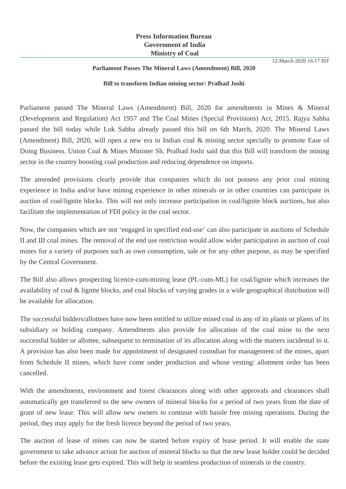## **Press Information Bureau Government of India Ministry of Coal**

## **Parliament Passes The Mineral Laws (Amendment) Bill, 2020**

## **Bill to transform Indian mining sector: Pralhad Joshi**

Parliament passed The Mineral Laws (Amendment) Bill, 2020 for amendments in Mines & Mineral (Development and Regulation) Act 1957 and The Coal Mines (Special Provisions) Act, 2015. Rajya Sabha passed the bill today while Lok Sabha already passed this bill on 6th March, 2020. The Mineral Laws (Amendment) Bill, 2020, will open a new era in Indian coal & mining sector specially to promote Ease of Doing Business. Union Coal & Mines Minister Sh. Pralhad Joshi said that this Bill will transform the mining sector in the country boosting coal production and reducing dependence on imports.

The amended provisions clearly provide that companies which do not possess any prior coal mining experience in India and/or have mining experience in other minerals or in other countries can participate in auction of coal/lignite blocks. This will not only increase participation in coal/lignite block auctions, but also facilitate the implementation of FDI policy in the coal sector.

Now, the companies which are not 'engaged in specified end-use' can also participate in auctions of Schedule II and III coal mines. The removal of the end use restriction would allow wider participation in auction of coal mines for a variety of purposes such as own consumption, sale or for any other purpose, as may be specified by the Central Government.

The Bill also allows prospecting licence-cum-mining lease (PL-cum-ML) for coal/lignite which increases the availability of coal & lignite blocks, and coal blocks of varying grades in a wide geographical distribution will be available for allocation.

The successful bidders/allottees have now been entitled to utilize mined coal in any of its plants or plants of its subsidiary or holding company. Amendments also provide for allocation of the coal mine to the next successful bidder or allottee, subsequent to termination of its allocation along with the matters incidental to it. A provision has also been made for appointment of designated custodian for management of the mines, apart from Schedule II mines, which have come under production and whose vesting/ allotment order has been cancelled.

With the amendments, environment and forest clearances along with other approvals and clearances shall automatically get transferred to the new owners of mineral blocks for a period of two years from the date of grant of new lease. This will allow new owners to continue with hassle free mining operations. During the period, they may apply for the fresh licence beyond the period of two years.

The auction of lease of mines can now be started before expiry of lease period. It will enable the state government to take advance action for auction of mineral blocks so that the new lease holder could be decided before the existing lease gets expired. This will help in seamless production of minerals in the country.